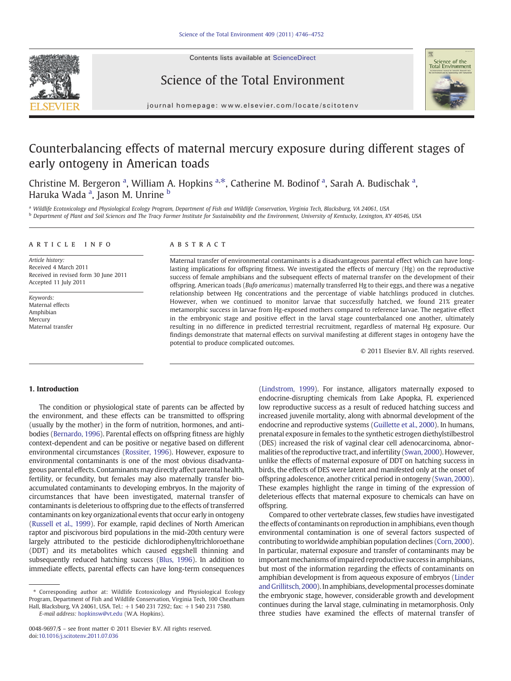Contents lists available at ScienceDirect







journal homepage: www.elsevier.com/locate/scitotenv

# Counterbalancing effects of maternal mercury exposure during different stages of early ontogeny in American toads

Christine M. Bergeron<sup>a</sup>, William A. Hopkins<sup>a,\*</sup>, Catherine M. Bodinof<sup>a</sup>, Sarah A. Budischak<sup>a</sup>, Haruka Wada <sup>a</sup>, Jason M. Unrine <sup>b</sup>

a Wildlife Ecotoxicology and Physiological Ecology Program, Department of Fish and Wildlife Conservation, Virginia Tech, Blacksburg, VA 24061, USA

**b** Department of Plant and Soil Sciences and The Tracy Farmer Institute for Sustainability and the Environment, University of Kentucky, Lexington, KY 40546, USA

#### article info abstract

Article history: Received 4 March 2011 Received in revised form 30 June 2011 Accepted 11 July 2011

Keywords: Maternal effects Amphibian Mercury Maternal transfer

Maternal transfer of environmental contaminants is a disadvantageous parental effect which can have longlasting implications for offspring fitness. We investigated the effects of mercury (Hg) on the reproductive success of female amphibians and the subsequent effects of maternal transfer on the development of their offspring. American toads (Bufo americanus) maternally transferred Hg to their eggs, and there was a negative relationship between Hg concentrations and the percentage of viable hatchlings produced in clutches. However, when we continued to monitor larvae that successfully hatched, we found 21% greater metamorphic success in larvae from Hg-exposed mothers compared to reference larvae. The negative effect in the embryonic stage and positive effect in the larval stage counterbalanced one another, ultimately resulting in no difference in predicted terrestrial recruitment, regardless of maternal Hg exposure. Our findings demonstrate that maternal effects on survival manifesting at different stages in ontogeny have the potential to produce complicated outcomes.

© 2011 Elsevier B.V. All rights reserved.

# 1. Introduction

The condition or physiological state of parents can be affected by the environment, and these effects can be transmitted to offspring (usually by the mother) in the form of nutrition, hormones, and antibodies [\(Bernardo, 1996](#page-6-0)). Parental effects on offspring fitness are highly context-dependent and can be positive or negative based on different environmental circumstances [\(Rossiter, 1996\)](#page-6-0). However, exposure to environmental contaminants is one of the most obvious disadvantageous parental effects. Contaminants may directly affect parental health, fertility, or fecundity, but females may also maternally transfer bioaccumulated contaminants to developing embryos. In the majority of circumstances that have been investigated, maternal transfer of contaminants is deleterious to offspring due to the effects of transferred contaminants on key organizational events that occur early in ontogeny [\(Russell et al., 1999](#page-6-0)). For example, rapid declines of North American raptor and piscivorous bird populations in the mid-20th century were largely attributed to the pesticide dichlorodiphenyltrichloroethane (DDT) and its metabolites which caused eggshell thinning and subsequently reduced hatching success ([Blus, 1996](#page-6-0)). In addition to immediate effects, parental effects can have long-term consequences

E-mail address: [hopkinsw@vt.edu](mailto:hopkinsw@vt.edu) (W.A. Hopkins).

[\(Lindstrom, 1999](#page-6-0)). For instance, alligators maternally exposed to endocrine-disrupting chemicals from Lake Apopka, FL experienced low reproductive success as a result of reduced hatching success and increased juvenile mortality, along with abnormal development of the endocrine and reproductive systems ([Guillette et al., 2000](#page-6-0)). In humans, prenatal exposure in females to the synthetic estrogen diethylstilbestrol (DES) increased the risk of vaginal clear cell adenocarcinoma, abnormalities of the reproductive tract, and infertility ([Swan, 2000](#page-6-0)). However, unlike the effects of maternal exposure of DDT on hatching success in birds, the effects of DES were latent and manifested only at the onset of offspring adolescence, another critical period in ontogeny [\(Swan, 2000\)](#page-6-0). These examples highlight the range in timing of the expression of deleterious effects that maternal exposure to chemicals can have on offspring.

Compared to other vertebrate classes, few studies have investigated the effects of contaminants on reproduction in amphibians, even though environmental contamination is one of several factors suspected of contributing to worldwide amphibian population declines ([Corn, 2000\)](#page-6-0). In particular, maternal exposure and transfer of contaminants may be important mechanisms of impaired reproductive success in amphibians, but most of the information regarding the effects of contaminants on amphibian development is from aqueous exposure of embryos [\(Linder](#page-6-0) [and Grillitsch, 2000](#page-6-0)). In amphibians, developmental processes dominate the embryonic stage, however, considerable growth and development continues during the larval stage, culminating in metamorphosis. Only three studies have examined the effects of maternal transfer of

<sup>⁎</sup> Corresponding author at: Wildlife Ecotoxicology and Physiological Ecology Program, Department of Fish and Wildlife Conservation, Virginia Tech, 100 Cheatham Hall, Blacksburg, VA 24061, USA. Tel.: +1 540 231 7292; fax: +1 540 231 7580.

<sup>0048-9697/\$</sup> – see front matter © 2011 Elsevier B.V. All rights reserved. doi[:10.1016/j.scitotenv.2011.07.036](http://dx.doi.org/10.1016/j.scitotenv.2011.07.036)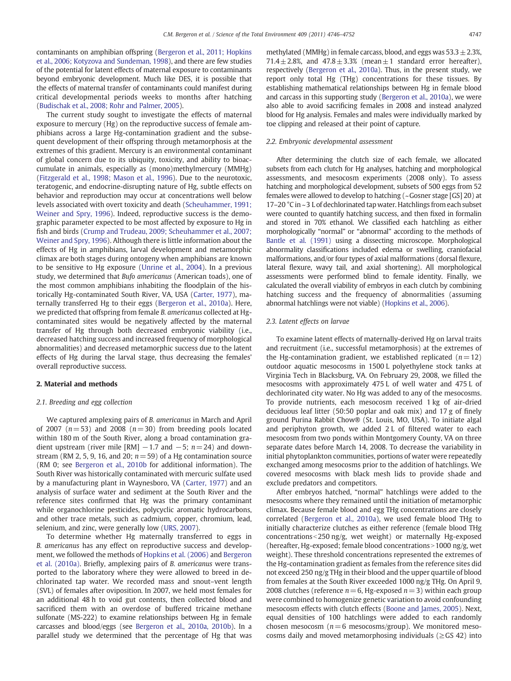contaminants on amphibian offspring [\(Bergeron et al., 2011; Hopkins](#page-6-0) [et al., 2006; Kotyzova and Sundeman, 1998](#page-6-0)), and there are few studies of the potential for latent effects of maternal exposure to contaminants beyond embryonic development. Much like DES, it is possible that the effects of maternal transfer of contaminants could manifest during critical developmental periods weeks to months after hatching [\(Budischak et al., 2008; Rohr and Palmer, 2005](#page-6-0)).

The current study sought to investigate the effects of maternal exposure to mercury (Hg) on the reproductive success of female amphibians across a large Hg-contamination gradient and the subsequent development of their offspring through metamorphosis at the extremes of this gradient. Mercury is an environmental contaminant of global concern due to its ubiquity, toxicity, and ability to bioaccumulate in animals, especially as (mono)methylmercury (MMHg) [\(Fitzgerald et al., 1998; Mason et al., 1996](#page-6-0)). Due to the neurotoxic, teratogenic, and endocrine-disrupting nature of Hg, subtle effects on behavior and reproduction may occur at concentrations well below levels associated with overt toxicity and death [\(Scheuhammer, 1991;](#page-6-0) [Weiner and Spry, 1996\)](#page-6-0). Indeed, reproductive success is the demographic parameter expected to be most affected by exposure to Hg in fish and birds [\(Crump and Trudeau, 2009; Scheuhammer et al., 2007;](#page-6-0) [Weiner and Spry, 1996\)](#page-6-0). Although there is little information about the effects of Hg in amphibians, larval development and metamorphic climax are both stages during ontogeny when amphibians are known to be sensitive to Hg exposure [\(Unrine et al., 2004\)](#page-6-0). In a previous study, we determined that Bufo americanus (American toads), one of the most common amphibians inhabiting the floodplain of the historically Hg-contaminated South River, VA, USA ([Carter, 1977\)](#page-6-0), maternally transferred Hg to their eggs [\(Bergeron et al., 2010a\)](#page-6-0). Here, we predicted that offspring from female B. americanus collected at Hgcontaminated sites would be negatively affected by the maternal transfer of Hg through both decreased embryonic viability (i.e., decreased hatching success and increased frequency of morphological abnormalities) and decreased metamorphic success due to the latent effects of Hg during the larval stage, thus decreasing the females' overall reproductive success.

# 2. Material and methods

#### 2.1. Breeding and egg collection

We captured amplexing pairs of B. americanus in March and April of 2007 ( $n=53$ ) and 2008 ( $n=30$ ) from breeding pools located within 180 m of the South River, along a broad contamination gradient upstream (river mile [RM]  $-1.7$  and  $-5$ ;  $n=24$ ) and downstream (RM 2, 5, 9, 16, and 20;  $n = 59$ ) of a Hg contamination source (RM 0; see [Bergeron et al., 2010b](#page-6-0) for additional information). The South River was historically contaminated with mercuric sulfate used by a manufacturing plant in Waynesboro, VA ([Carter, 1977\)](#page-6-0) and an analysis of surface water and sediment at the South River and the reference sites confirmed that Hg was the primary contaminant while organochlorine pesticides, polycyclic aromatic hydrocarbons, and other trace metals, such as cadmium, copper, chromium, lead, selenium, and zinc, were generally low [\(URS, 2007](#page-6-0)).

To determine whether Hg maternally transferred to eggs in B. americanus has any effect on reproductive success and development, we followed the methods of [Hopkins et al. \(2006\)](#page-6-0) and [Bergeron](#page-6-0) [et al. \(2010a\).](#page-6-0) Briefly, amplexing pairs of B. americanus were transported to the laboratory where they were allowed to breed in dechlorinated tap water. We recorded mass and snout–vent length (SVL) of females after oviposition. In 2007, we held most females for an additional 48 h to void gut contents, then collected blood and sacrificed them with an overdose of buffered tricaine methane sulfonate (MS-222) to examine relationships between Hg in female carcasses and blood/eggs (see [Bergeron et al., 2010a, 2010b](#page-6-0)). In a parallel study we determined that the percentage of Hg that was methylated (MMHg) in female carcass, blood, and eggs was  $53.3 \pm 2.3$ %, 71.4 $\pm$ 2.8%, and 47.8 $\pm$ 3.3% (mean $\pm$ 1 standard error hereafter), respectively ([Bergeron et al., 2010a](#page-6-0)). Thus, in the present study, we report only total Hg (THg) concentrations for these tissues. By establishing mathematical relationships between Hg in female blood and carcass in this supporting study [\(Bergeron et al., 2010a\)](#page-6-0), we were also able to avoid sacrificing females in 2008 and instead analyzed blood for Hg analysis. Females and males were individually marked by toe clipping and released at their point of capture.

#### 2.2. Embryonic developmental assessment

After determining the clutch size of each female, we allocated subsets from each clutch for Hg analyses, hatching and morphological assessments, and mesocosm experiments (2008 only). To assess hatching and morphological development, subsets of 500 eggs from 52 females were allowed to develop to hatching (~Gosner stage [GS] 20) at 17–20 °C in ~3 L of dechlorinated tap water. Hatchlings from each subset were counted to quantify hatching success, and then fixed in formalin and stored in 70% ethanol. We classified each hatchling as either morphologically "normal" or "abnormal" according to the methods of [Bantle et al. \(1991\)](#page-6-0) using a dissecting microscope. Morphological abnormality classifications included edema or swelling, craniofacial malformations, and/or four types of axial malformations (dorsal flexure, lateral flexure, wavy tail, and axial shortening). All morphological assessments were performed blind to female identity. Finally, we calculated the overall viability of embryos in each clutch by combining hatching success and the frequency of abnormalities (assuming abnormal hatchlings were not viable) ([Hopkins et al., 2006\)](#page-6-0).

#### 2.3. Latent effects on larvae

To examine latent effects of maternally-derived Hg on larval traits and recruitment (i.e., successful metamorphosis) at the extremes of the Hg-contamination gradient, we established replicated  $(n=12)$ outdoor aquatic mesocosms in 1500 L polyethylene stock tanks at Virginia Tech in Blacksburg, VA. On February 29, 2008, we filled the mesocosms with approximately 475 L of well water and 475 L of dechlorinated city water. No Hg was added to any of the mesocosms. To provide nutrients, each mesocosm received 1 kg of air-dried deciduous leaf litter (50:50 poplar and oak mix) and 17 g of finely ground Purina Rabbit Chow® (St. Louis, MO, USA). To initiate algal and periphyton growth, we added 2 L of filtered water to each mesocosm from two ponds within Montgomery County, VA on three separate dates before March 14, 2008. To decrease the variability in initial phytoplankton communities, portions of water were repeatedly exchanged among mesocosms prior to the addition of hatchlings. We covered mesocosms with black mesh lids to provide shade and exclude predators and competitors.

After embryos hatched, "normal" hatchlings were added to the mesocosms where they remained until the initiation of metamorphic climax. Because female blood and egg THg concentrations are closely correlated ([Bergeron et al., 2010a\)](#page-6-0), we used female blood THg to initially characterize clutches as either reference (female blood THg concentrations<250 ng/g, wet weight) or maternally Hg-exposed (hereafter, Hg-exposed; female blood concentrations > 1000 ng/g, wet weight). These threshold concentrations represented the extremes of the Hg-contamination gradient as females from the reference sites did not exceed 250 ng/g THg in their blood and the upper quartile of blood from females at the South River exceeded 1000 ng/g THg. On April 9, 2008 clutches (reference  $n=6$ , Hg-exposed  $n=3$ ) within each group were combined to homogenize genetic variation to avoid confounding mesocosm effects with clutch effects [\(Boone and James, 2005\)](#page-6-0). Next, equal densities of 100 hatchlings were added to each randomly chosen mesocosm ( $n=6$  mesocosms/group). We monitored mesocosms daily and moved metamorphosing individuals ( $\geq$  GS 42) into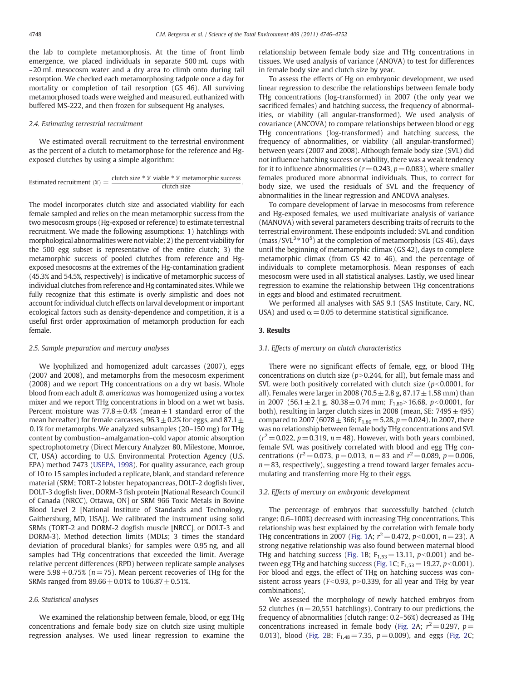the lab to complete metamorphosis. At the time of front limb emergence, we placed individuals in separate 500 mL cups with  $\sim$  20 mL mesocosm water and a dry area to climb onto during tail resorption. We checked each metamorphosing tadpole once a day for mortality or completion of tail resorption (GS 46). All surviving metamorphosed toads were weighed and measured, euthanized with buffered MS-222, and then frozen for subsequent Hg analyses.

# 2.4. Estimating terrestrial recruitment

We estimated overall recruitment to the terrestrial environment as the percent of a clutch to metamorphose for the reference and Hgexposed clutches by using a simple algorithm:

Estimated recruitment 
$$
(\mathcal{X}) = \frac{\text{clutch size} * \mathcal{X} \text{ viable} * \mathcal{X} \text{ metamorphic success}}{\text{clutch size}}
$$
.

The model incorporates clutch size and associated viability for each female sampled and relies on the mean metamorphic success from the two mesocosm groups (Hg-exposed or reference) to estimate terrestrial recruitment. We made the following assumptions: 1) hatchlings with morphological abnormalities were not viable; 2) the percent viability for the 500 egg subset is representative of the entire clutch; 3) the metamorphic success of pooled clutches from reference and Hgexposed mesocosms at the extremes of the Hg-contamination gradient (45.3% and 54.5%, respectively) is indicative of metamorphic success of individual clutches from reference and Hg contaminated sites.While we fully recognize that this estimate is overly simplistic and does not account for individual clutch effects on larval development or important ecological factors such as density-dependence and competition, it is a useful first order approximation of metamorph production for each female.

#### 2.5. Sample preparation and mercury analyses

We lyophilized and homogenized adult carcasses (2007), eggs (2007 and 2008), and metamorphs from the mesocosm experiment (2008) and we report THg concentrations on a dry wt basis. Whole blood from each adult B. americanus was homogenized using a vortex mixer and we report THg concentrations in blood on a wet wt basis. Percent moisture was  $77.8 \pm 0.4$ % (mean $\pm 1$  standard error of the mean hereafter) for female carcasses,  $96.3 \pm 0.2\%$  for eggs, and 87.1  $\pm$ 0.1% for metamorphs. We analyzed subsamples (20–150 mg) for THg content by combustion–amalgamation–cold vapor atomic absorption spectrophotometry (Direct Mercury Analyzer 80, Milestone, Monroe, CT, USA) according to U.S. Environmental Protection Agency (U.S. EPA) method 7473 ([USEPA, 1998\)](#page-6-0). For quality assurance, each group of 10 to 15 samples included a replicate, blank, and standard reference material (SRM; TORT-2 lobster hepatopancreas, DOLT-2 dogfish liver, DOLT-3 dogfish liver, DORM-3 fish protein [National Research Council of Canada (NRCC), Ottawa, ON] or SRM 966 Toxic Metals in Bovine Blood Level 2 [National Institute of Standards and Technology, Gaithersburg, MD, USA]). We calibrated the instrument using solid SRMs (TORT-2 and DORM-2 dogfish muscle [NRCC], or DOLT-3 and DORM-3). Method detection limits (MDLs; 3 times the standard deviation of procedural blanks) for samples were 0.95 ng, and all samples had THg concentrations that exceeded the limit. Average relative percent differences (RPD) between replicate sample analyses were  $5.98 \pm 0.75\%$  ( $n = 75$ ). Mean percent recoveries of THg for the SRMs ranged from  $89.66 \pm 0.01\%$  to  $106.87 \pm 0.51\%$ .

# 2.6. Statistical analyses

We examined the relationship between female, blood, or egg THg concentrations and female body size on clutch size using multiple regression analyses. We used linear regression to examine the relationship between female body size and THg concentrations in tissues. We used analysis of variance (ANOVA) to test for differences in female body size and clutch size by year.

To assess the effects of Hg on embryonic development, we used linear regression to describe the relationships between female body THg concentrations (log-transformed) in 2007 (the only year we sacrificed females) and hatching success, the frequency of abnormalities, or viability (all angular-transformed). We used analysis of covariance (ANCOVA) to compare relationships between blood or egg THg concentrations (log-transformed) and hatching success, the frequency of abnormalities, or viability (all angular-transformed) between years (2007 and 2008). Although female body size (SVL) did not influence hatching success or viability, there was a weak tendency for it to influence abnormalities ( $r = 0.243$ ,  $p = 0.083$ ), where smaller females produced more abnormal individuals. Thus, to correct for body size, we used the residuals of SVL and the frequency of abnormalities in the linear regression and ANCOVA analyses.

To compare development of larvae in mesocosms from reference and Hg-exposed females, we used multivariate analysis of variance (MANOVA) with several parameters describing traits of recruits to the terrestrial environment. These endpoints included: SVL and condition  $(mass/SVL<sup>3</sup>*10<sup>5</sup>)$  at the completion of metamorphosis (GS 46), days until the beginning of metamorphic climax (GS 42), days to complete metamorphic climax (from GS 42 to 46), and the percentage of individuals to complete metamorphosis. Mean responses of each mesocosm were used in all statistical analyses. Lastly, we used linear regression to examine the relationship between THg concentrations in eggs and blood and estimated recruitment.

We performed all analyses with SAS 9.1 (SAS Institute, Cary, NC, USA) and used  $\alpha = 0.05$  to determine statistical significance.

#### 3. Results

#### 3.1. Effects of mercury on clutch characteristics

There were no significant effects of female, egg, or blood THg concentrations on clutch size ( $p>0.244$ , for all), but female mass and SVL were both positively correlated with clutch size ( $p<0.0001$ , for all). Females were larger in 2008 (70.5  $\pm$  2.8 g, 87.17  $\pm$  1.58 mm) than in 2007 (56.1 $\pm$ 2.1 g, 80.38 $\pm$ 0.74 mm; F<sub>1,80</sub> > 16.68, p<0.0001, for both), resulting in larger clutch sizes in 2008 (mean, SE:  $7495 \pm 495$ ) compared to 2007 (6078  $\pm$  366; F<sub>1,80</sub> = 5.28, p = 0.024). In 2007, there was no relationship between female body THg concentrations and SVL  $(r^2 = 0.022, p = 0.319, n = 48)$ . However, with both years combined, female SVL was positively correlated with blood and egg THg concentrations ( $r^2 = 0.073$ ,  $p = 0.013$ ,  $n = 83$  and  $r^2 = 0.089$ ,  $p = 0.006$  $n= 83$ , respectively), suggesting a trend toward larger females accumulating and transferring more Hg to their eggs.

#### 3.2. Effects of mercury on embryonic development

The percentage of embryos that successfully hatched (clutch range: 0.6–100%) decreased with increasing THg concentrations. This relationship was best explained by the correlation with female body THg concentrations in 2007 [\(Fig. 1](#page-3-0)A;  $r^2 = 0.472$ ,  $p < 0.001$ ,  $n = 23$ ). A strong negative relationship was also found between maternal blood THg and hatching success ([Fig. 1](#page-3-0)B;  $F_{1,53} = 13.11$ ,  $p < 0.001$ ) and be-tween egg THg and hatching success [\(Fig. 1](#page-3-0)C;  $F_{1,53} = 19.27$ ,  $p < 0.001$ ). For blood and eggs, the effect of THg on hatching success was consistent across years (F<0.93,  $p>0.339$ , for all year and THg by year combinations).

We assessed the morphology of newly hatched embryos from 52 clutches ( $n = 20,551$  hatchlings). Contrary to our predictions, the frequency of abnormalities (clutch range: 0.2–56%) decreased as THg concentrations increased in female body ([Fig. 2A](#page-3-0);  $r^2 = 0.297$ ,  $p =$ 0.013), blood [\(Fig. 2](#page-3-0)B;  $F_{1,48} = 7.35$ ,  $p = 0.009$ ), and eggs (Fig. 2C;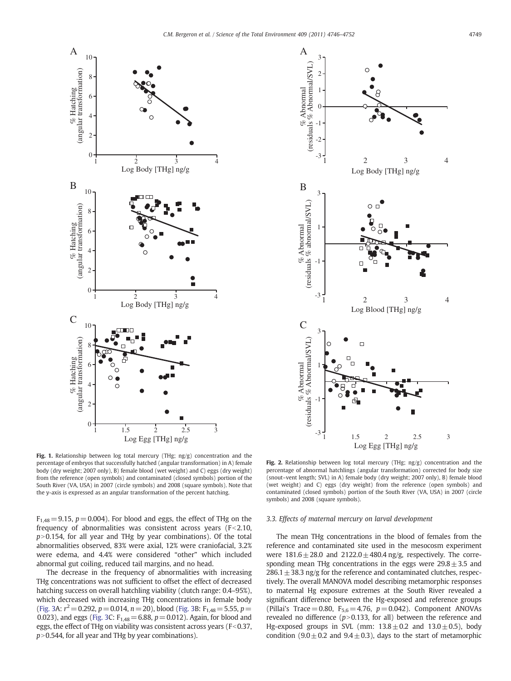<span id="page-3-0"></span>

Fig. 1. Relationship between log total mercury (THg; ng/g) concentration and the percentage of embryos that successfully hatched (angular transformation) in A) female body (dry weight; 2007 only), B) female blood (wet weight) and C) eggs (dry weight) from the reference (open symbols) and contaminated (closed symbols) portion of the South River (VA, USA) in 2007 (circle symbols) and 2008 (square symbols). Note that the y-axis is expressed as an angular transformation of the percent hatching.

 $F_{1,48}= 9.15$ ,  $p= 0.004$ ). For blood and eggs, the effect of THg on the frequency of abnormalities was consistent across years  $(F<2.10,$  $p$  > 0.154, for all year and THg by year combinations). Of the total abnormalities observed, 83% were axial, 12% were craniofacial, 3.2% were edema, and 4.4% were considered "other" which included abnormal gut coiling, reduced tail margins, and no head.

The decrease in the frequency of abnormalities with increasing THg concentrations was not sufficient to offset the effect of decreased hatching success on overall hatchling viability (clutch range: 0.4–95%), which decreased with increasing THg concentrations in female body [\(Fig. 3A](#page-4-0):  $r^2 = 0.292$ ,  $p = 0.014$ ,  $n = 20$ ), blood [\(Fig. 3B](#page-4-0):  $F_{1,48} = 5.55$ ,  $p =$ 0.023), and eggs ([Fig. 3C](#page-4-0):  $F_{1,48} = 6.88$ ,  $p = 0.012$ ). Again, for blood and eggs, the effect of THg on viability was consistent across years ( $F<0.37$ ,  $p > 0.544$ , for all year and THg by year combinations).



Fig. 2. Relationship between log total mercury (THg; ng/g) concentration and the percentage of abnormal hatchlings (angular transformation) corrected for body size (snout–vent length; SVL) in A) female body (dry weight; 2007 only), B) female blood (wet weight) and C) eggs (dry weight) from the reference (open symbols) and contaminated (closed symbols) portion of the South River (VA, USA) in 2007 (circle symbols) and 2008 (square symbols).

#### 3.3. Effects of maternal mercury on larval development

The mean THg concentrations in the blood of females from the reference and contaminated site used in the mesocosm experiment were  $181.6 \pm 28.0$  and  $2122.0 \pm 480.4$  ng/g, respectively. The corresponding mean THg concentrations in the eggs were  $29.8 \pm 3.5$  and  $286.1 \pm 38.3$  ng/g for the reference and contaminated clutches, respectively. The overall MANOVA model describing metamorphic responses to maternal Hg exposure extremes at the South River revealed a significant difference between the Hg-exposed and reference groups (Pillai's Trace = 0.80,  $F_{5,6}$  = 4.76,  $p$  = 0.042). Component ANOVAs revealed no difference ( $p > 0.133$ , for all) between the reference and Hg-exposed groups in SVL (mm:  $13.8 \pm 0.2$  and  $13.0 \pm 0.5$ ), body condition (9.0 $\pm$ 0.2 and 9.4 $\pm$ 0.3), days to the start of metamorphic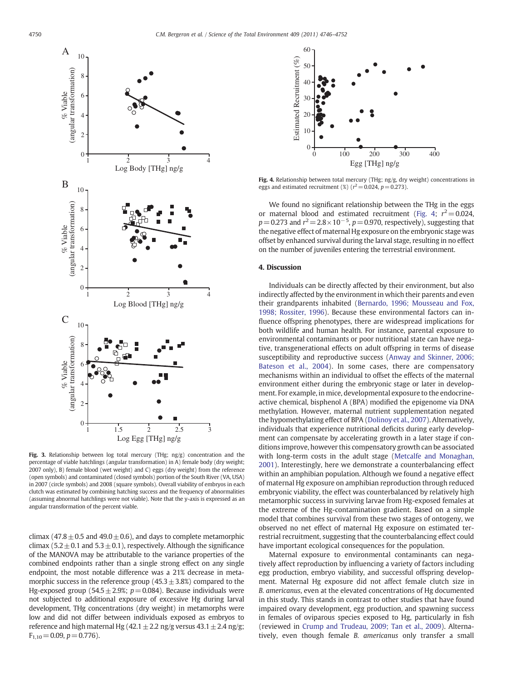<span id="page-4-0"></span>

Fig. 3. Relationship between log total mercury (THg; ng/g) concentration and the percentage of viable hatchlings (angular transformation) in A) female body (dry weight; 2007 only), B) female blood (wet weight) and C) eggs (dry weight) from the reference (open symbols) and contaminated (closed symbols) portion of the South River (VA, USA) in 2007 (circle symbols) and 2008 (square symbols). Overall viability of embryos in each clutch was estimated by combining hatching success and the frequency of abnormalities (assuming abnormal hatchlings were not viable). Note that the y-axis is expressed as an angular transformation of the percent viable.

climax (47.8  $\pm$  0.5 and 49.0  $\pm$  0.6), and days to complete metamorphic climax (5.2 $\pm$ 0.1 and 5.3 $\pm$ 0.1), respectively. Although the significance of the MANOVA may be attributable to the variance properties of the combined endpoints rather than a single strong effect on any single endpoint, the most notable difference was a 21% decrease in metamorphic success in the reference group ( $45.3 \pm 3.8$ %) compared to the Hg-exposed group (54.5  $\pm$  2.9%; p = 0.084). Because individuals were not subjected to additional exposure of excessive Hg during larval development, THg concentrations (dry weight) in metamorphs were low and did not differ between individuals exposed as embryos to reference and high maternal Hg (42.1  $\pm$  2.2 ng/g versus 43.1  $\pm$  2.4 ng/g;  $F_{1,10} = 0.09$ ,  $p = 0.776$ ).



Fig. 4. Relationship between total mercury (THg; ng/g, dry weight) concentrations in eggs and estimated recruitment (%) ( $r^2$  = 0.024, p = 0.273).

We found no significant relationship between the THg in the eggs or maternal blood and estimated recruitment (Fig. 4;  $r^2 = 0.024$ ,  $p = 0.273$  and  $r^2 = 2.8 \times 10^{-5}$ ,  $p = 0.970$ , respectively), suggesting that the negative effect of maternal Hg exposure on the embryonic stage was offset by enhanced survival during the larval stage, resulting in no effect on the number of juveniles entering the terrestrial environment.

# 4. Discussion

Individuals can be directly affected by their environment, but also indirectly affected by the environment in which their parents and even their grandparents inhabited ([Bernardo, 1996; Mousseau and Fox,](#page-6-0) [1998; Rossiter, 1996](#page-6-0)). Because these environmental factors can influence offspring phenotypes, there are widespread implications for both wildlife and human health. For instance, parental exposure to environmental contaminants or poor nutritional state can have negative, transgenerational effects on adult offspring in terms of disease susceptibility and reproductive success ([Anway and Skinner, 2006;](#page-6-0) [Bateson et al., 2004](#page-6-0)). In some cases, there are compensatory mechanisms within an individual to offset the effects of the maternal environment either during the embryonic stage or later in development. For example, in mice, developmental exposure to the endocrineactive chemical, bisphenol A (BPA) modified the epigenome via DNA methylation. However, maternal nutrient supplementation negated the hypomethylating effect of BPA ([Dolinoy et al., 2007](#page-6-0)). Alternatively, individuals that experience nutritional deficits during early development can compensate by accelerating growth in a later stage if conditions improve, however this compensatory growth can be associated with long-term costs in the adult stage ([Metcalfe and Monaghan,](#page-6-0) [2001\)](#page-6-0). Interestingly, here we demonstrate a counterbalancing effect within an amphibian population. Although we found a negative effect of maternal Hg exposure on amphibian reproduction through reduced embryonic viability, the effect was counterbalanced by relatively high metamorphic success in surviving larvae from Hg-exposed females at the extreme of the Hg-contamination gradient. Based on a simple model that combines survival from these two stages of ontogeny, we observed no net effect of maternal Hg exposure on estimated terrestrial recruitment, suggesting that the counterbalancing effect could have important ecological consequences for the population.

Maternal exposure to environmental contaminants can negatively affect reproduction by influencing a variety of factors including egg production, embryo viability, and successful offspring development. Maternal Hg exposure did not affect female clutch size in B. americanus, even at the elevated concentrations of Hg documented in this study. This stands in contrast to other studies that have found impaired ovary development, egg production, and spawning success in females of oviparous species exposed to Hg, particularly in fish (reviewed in [Crump and Trudeau, 2009; Tan et al., 2009](#page-6-0)). Alternatively, even though female B. americanus only transfer a small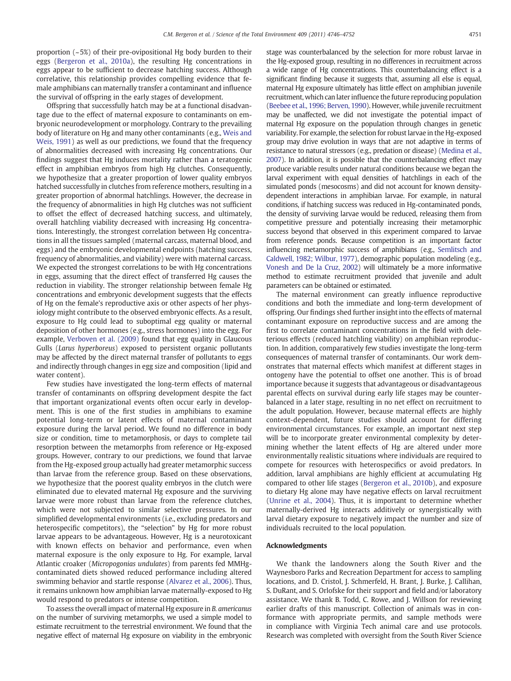proportion (~5%) of their pre-ovipositional Hg body burden to their eggs ([Bergeron et al., 2010a\)](#page-6-0), the resulting Hg concentrations in eggs appear to be sufficient to decrease hatching success. Although correlative, this relationship provides compelling evidence that female amphibians can maternally transfer a contaminant and influence the survival of offspring in the early stages of development.

Offspring that successfully hatch may be at a functional disadvantage due to the effect of maternal exposure to contaminants on embryonic neurodevelopment or morphology. Contrary to the prevailing body of literature on Hg and many other contaminants (e.g., [Weis and](#page-6-0) [Weis, 1991](#page-6-0)) as well as our predictions, we found that the frequency of abnormalities decreased with increasing Hg concentrations. Our findings suggest that Hg induces mortality rather than a teratogenic effect in amphibian embryos from high Hg clutches. Consequently, we hypothesize that a greater proportion of lower quality embryos hatched successfully in clutches from reference mothers, resulting in a greater proportion of abnormal hatchlings. However, the decrease in the frequency of abnormalities in high Hg clutches was not sufficient to offset the effect of decreased hatching success, and ultimately, overall hatchling viability decreased with increasing Hg concentrations. Interestingly, the strongest correlation between Hg concentrations in all the tissues sampled (maternal carcass, maternal blood, and eggs) and the embryonic developmental endpoints (hatching success, frequency of abnormalities, and viability) were with maternal carcass. We expected the strongest correlations to be with Hg concentrations in eggs, assuming that the direct effect of transferred Hg causes the reduction in viability. The stronger relationship between female Hg concentrations and embryonic development suggests that the effects of Hg on the female's reproductive axis or other aspects of her physiology might contribute to the observed embryonic effects. As a result, exposure to Hg could lead to suboptimal egg quality or maternal deposition of other hormones (e.g., stress hormones) into the egg. For example, [Verboven et al. \(2009\)](#page-6-0) found that egg quality in Glaucous Gulls (Larus hyperboreus) exposed to persistent organic pollutants may be affected by the direct maternal transfer of pollutants to eggs and indirectly through changes in egg size and composition (lipid and water content).

Few studies have investigated the long-term effects of maternal transfer of contaminants on offspring development despite the fact that important organizational events often occur early in development. This is one of the first studies in amphibians to examine potential long-term or latent effects of maternal contaminant exposure during the larval period. We found no difference in body size or condition, time to metamorphosis, or days to complete tail resorption between the metamorphs from reference or Hg-exposed groups. However, contrary to our predictions, we found that larvae from the Hg-exposed group actually had greater metamorphic success than larvae from the reference group. Based on these observations, we hypothesize that the poorest quality embryos in the clutch were eliminated due to elevated maternal Hg exposure and the surviving larvae were more robust than larvae from the reference clutches, which were not subjected to similar selective pressures. In our simplified developmental environments (i.e., excluding predators and heterospecific competitors), the "selection" by Hg for more robust larvae appears to be advantageous. However, Hg is a neurotoxicant with known effects on behavior and performance, even when maternal exposure is the only exposure to Hg. For example, larval Atlantic croaker (Micropogonias undulates) from parents fed MMHgcontaminated diets showed reduced performance including altered swimming behavior and startle response [\(Alvarez et al., 2006\)](#page-6-0). Thus, it remains unknown how amphibian larvae maternally-exposed to Hg would respond to predators or intense competition.

To assess the overall impact of maternal Hg exposure in B. americanus on the number of surviving metamorphs, we used a simple model to estimate recruitment to the terrestrial environment. We found that the negative effect of maternal Hg exposure on viability in the embryonic stage was counterbalanced by the selection for more robust larvae in the Hg-exposed group, resulting in no differences in recruitment across a wide range of Hg concentrations. This counterbalancing effect is a significant finding because it suggests that, assuming all else is equal, maternal Hg exposure ultimately has little effect on amphibian juvenile recruitment, which can later influence the future reproducing population [\(Beebee et al., 1996; Berven, 1990\)](#page-6-0). However, while juvenile recruitment may be unaffected, we did not investigate the potential impact of maternal Hg exposure on the population through changes in genetic variability. For example, the selection for robust larvae in the Hg-exposed group may drive evolution in ways that are not adaptive in terms of resistance to natural stressors (e.g., predation or disease) ([Medina et al.,](#page-6-0) [2007](#page-6-0)). In addition, it is possible that the counterbalancing effect may produce variable results under natural conditions because we began the larval experiment with equal densities of hatchlings in each of the simulated ponds (mesocosms) and did not account for known densitydependent interactions in amphibian larvae. For example, in natural conditions, if hatching success was reduced in Hg-contaminated ponds, the density of surviving larvae would be reduced, releasing them from competitive pressure and potentially increasing their metamorphic success beyond that observed in this experiment compared to larvae from reference ponds. Because competition is an important factor influencing metamorphic success of amphibians (e.g., [Semlitsch and](#page-6-0) [Caldwell, 1982; Wilbur, 1977](#page-6-0)), demographic population modeling (e.g., [Vonesh and De la Cruz, 2002](#page-6-0)) will ultimately be a more informative method to estimate recruitment provided that juvenile and adult parameters can be obtained or estimated.

The maternal environment can greatly influence reproductive conditions and both the immediate and long-term development of offspring. Our findings shed further insight into the effects of maternal contaminant exposure on reproductive success and are among the first to correlate contaminant concentrations in the field with deleterious effects (reduced hatchling viability) on amphibian reproduction. In addition, comparatively few studies investigate the long-term consequences of maternal transfer of contaminants. Our work demonstrates that maternal effects which manifest at different stages in ontogeny have the potential to offset one another. This is of broad importance because it suggests that advantageous or disadvantageous parental effects on survival during early life stages may be counterbalanced in a later stage, resulting in no net effect on recruitment to the adult population. However, because maternal effects are highly context-dependent, future studies should account for differing environmental circumstances. For example, an important next step will be to incorporate greater environmental complexity by determining whether the latent effects of Hg are altered under more environmentally realistic situations where individuals are required to compete for resources with heterospecifics or avoid predators. In addition, larval amphibians are highly efficient at accumulating Hg compared to other life stages ([Bergeron et al., 2010b](#page-6-0)), and exposure to dietary Hg alone may have negative effects on larval recruitment [\(Unrine et al., 2004](#page-6-0)). Thus, it is important to determine whether maternally-derived Hg interacts additively or synergistically with larval dietary exposure to negatively impact the number and size of individuals recruited to the local population.

#### Acknowledgments

We thank the landowners along the South River and the Waynesboro Parks and Recreation Department for access to sampling locations, and D. Cristol, J. Schmerfeld, H. Brant, J. Burke, J. Callihan, S. DuRant, and S. Orlofske for their support and field and/or laboratory assistance. We thank B. Todd, C. Rowe, and J. Willson for reviewing earlier drafts of this manuscript. Collection of animals was in conformance with appropriate permits, and sample methods were in compliance with Virginia Tech animal care and use protocols. Research was completed with oversight from the South River Science